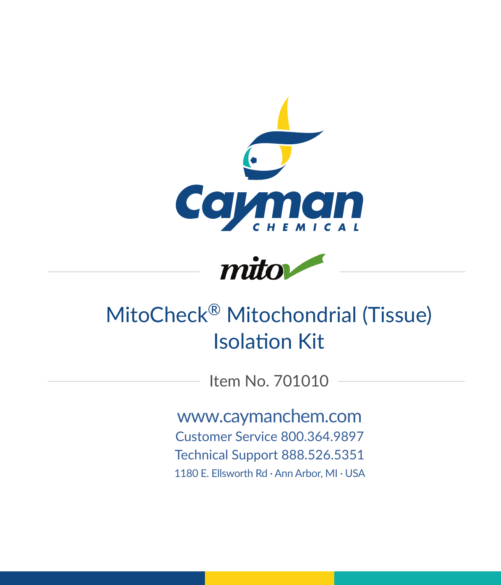



# MitoCheck® Mitochondrial (Tissue) Isolation Kit

Item No. 701010

www.caymanchem.com Customer Service 800.364.9897 Technical Support 888.526.5351 1180 E. Ellsworth Rd · Ann Arbor, MI · USA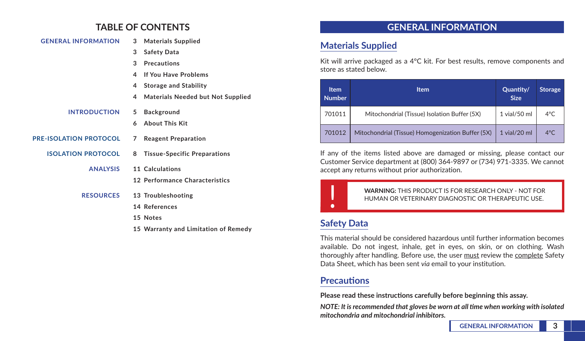## **TABLE OF CONTENTS**

| <b>GENERAL INFORMATION</b>    | 3            | <b>Materials Supplied</b>           |
|-------------------------------|--------------|-------------------------------------|
|                               | 3            | <b>Safety Data</b>                  |
|                               | $\mathbf{R}$ | <b>Precautions</b>                  |
|                               | 4            | <b>If You Have Problems</b>         |
|                               | 4            | <b>Storage and Stability</b>        |
|                               | 4            | Materials Needed but Not Supplied   |
| <b>INTRODUCTION</b>           | 5.           | <b>Background</b>                   |
|                               | 6            | <b>About This Kit</b>               |
| <b>PRE-ISOLATION PROTOCOL</b> | 7            | <b>Reagent Preparation</b>          |
| <b>ISOLATION PROTOCOL</b>     | 8            | <b>Tissue-Specific Preparations</b> |
| <b>ANALYSIS</b>               |              | 11 Calculations                     |
|                               |              | 12 Performance Characteristics      |
| <b>RESOURCES</b>              |              | 13 Troubleshooting                  |
|                               |              | 14 References                       |
|                               |              | 15 Notes                            |
|                               |              |                                     |

**15 Warranty and Limitation of Remedy**

#### **GENERAL INFORMATION**

### **Materials Supplied**

Kit will arrive packaged as a 4°C kit. For best results, remove components and store as stated below.

| <b>Item</b><br><b>Number</b> | <b>Item</b>                                       | Quantity/<br><b>Size</b> | <b>Storage</b> |
|------------------------------|---------------------------------------------------|--------------------------|----------------|
| 701011                       | Mitochondrial (Tissue) Isolation Buffer (5X)      | $1$ vial/50 ml           | $4^{\circ}$ C. |
| 701012                       | Mitochondrial (Tissue) Homogenization Buffer (5X) | $1$ vial/20 ml           | $4^{\circ}$ C. |

If any of the items listed above are damaged or missing, please contact our Customer Service department at (800) 364-9897 or (734) 971-3335. We cannot accept any returns without prior authorization.

**WARNING:** THIS PRODUCT IS FOR RESEARCH ONLY - NOT FOR HUMAN OR VETERINARY DIAGNOSTIC OR THERAPEUTIC USE. HUMAN OR VETERINARY DIAGNOSTIC OR THERAPEUTIC USE.

# **Safety Data**

This material should be considered hazardous until further information becomes available. Do not ingest, inhale, get in eyes, on skin, or on clothing. Wash thoroughly after handling. Before use, the user must review the complete Safety Data Sheet, which has been sent *via* email to your institution.

#### **Precautions**

**Please read these instructions carefully before beginning this assay.**

*NOTE: It is recommended that gloves be worn at all time when working with isolated mitochondria and mitochondrial inhibitors.*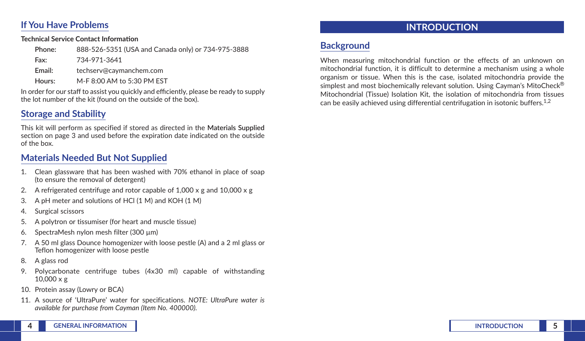#### **If You Have Problems**

#### **Technical Service Contact Information**

| Phone: | 888-526-5351 (USA and Canada only) or 734-975-3888 |
|--------|----------------------------------------------------|
| Fax:   | 734-971-3641                                       |
| Email: | techserv@cavmanchem.com                            |
| Hours: | M-F 8:00 AM to 5:30 PM EST                         |

In order for our staff to assist you quickly and efficiently, please be ready to supply the lot number of the kit (found on the outside of the box).

### **Storage and Stability**

This kit will perform as specified if stored as directed in the **Materials Supplied** section on page 3 and used before the expiration date indicated on the outside of the box.

#### **Materials Needed But Not Supplied**

- 1. Clean glassware that has been washed with 70% ethanol in place of soap (to ensure the removal of detergent)
- 2. A refrigerated centrifuge and rotor capable of  $1,000 \times g$  and  $10,000 \times g$
- 3. A pH meter and solutions of HCl (1 M) and KOH (1 M)
- 4. Surgical scissors
- 5. A polytron or tissumiser (for heart and muscle tissue)
- 6. SpectraMesh nylon mesh filter (300 µm)
- 7. A 50 ml glass Dounce homogenizer with loose pestle (A) and a 2 ml glass or Teflon homogenizer with loose pestle
- 8. A glass rod
- 9. Polycarbonate centrifuge tubes (4x30 ml) capable of withstanding 10,000 x g
- 10. Protein assay (Lowry or BCA)
- 11. A source of 'UltraPure' water for specifications. *NOTE: UltraPure water is available for purchase from Cayman (Item No. 400000).*

# **INTRODUCTION**

# **Background**

When measuring mitochondrial function or the effects of an unknown on mitochondrial function, it is difficult to determine a mechanism using a whole organism or tissue. When this is the case, isolated mitochondria provide the simplest and most biochemically relevant solution. Using Cayman's MitoCheck® Mitochondrial (Tissue) Isolation Kit, the isolation of mitochondria from tissues can be easily achieved using differential centrifugation in isotonic buffers.<sup>1,2</sup>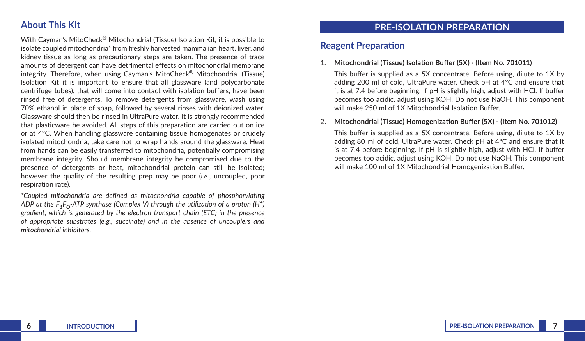#### **About This Kit**

With Cayman's MitoCheck® Mitochondrial (Tissue) Isolation Kit, it is possible to isolate coupled mitochondria\* from freshly harvested mammalian heart, liver, and kidney tissue as long as precautionary steps are taken. The presence of trace amounts of detergent can have detrimental effects on mitochondrial membrane integrity. Therefore, when using Cayman's MitoCheck® Mitochondrial (Tissue) Isolation Kit it is important to ensure that all glassware (and polycarbonate centrifuge tubes), that will come into contact with isolation buffers, have been rinsed free of detergents. To remove detergents from glassware, wash using 70% ethanol in place of soap, followed by several rinses with deionized water. Glassware should then be rinsed in UltraPure water. It is strongly recommended that plasticware be avoided. All steps of this preparation are carried out on ice or at 4°C. When handling glassware containing tissue homogenates or crudely isolated mitochondria, take care not to wrap hands around the glassware. Heat from hands can be easily transferred to mitochondria, potentially compromising membrane integrity. Should membrane integrity be compromised due to the presence of detergents or heat, mitochondrial protein can still be isolated; however the quality of the resulting prep may be poor (*i.e.*, uncoupled, poor respiration rate).

*\*Coupled mitochondria are defined as mitochondria capable of phosphorylating ADP at the F<sub>1</sub>F<sub>O</sub>-ATP synthase (Complex V) through the utilization of a proton (H<sup>+</sup>) gradient, which is generated by the electron transport chain (ETC) in the presence of appropriate substrates (e.g., succinate) and in the absence of uncouplers and mitochondrial inhibitors.*

#### **PRE-ISOLATION PREPARATION**

#### **Reagent Preparation**

1. **Mitochondrial (Tissue) Isolation Buffer (5X) - (Item No. 701011)**

This buffer is supplied as a 5X concentrate. Before using, dilute to 1X by adding 200 ml of cold, UltraPure water. Check pH at 4°C and ensure that it is at 7.4 before beginning. If pH is slightly high, adjust with HCl. If buffer becomes too acidic, adjust using KOH. Do not use NaOH. This component will make 250 ml of 1X Mitochondrial Isolation Buffer.

#### 2. **Mitochondrial (Tissue) Homogenization Buffer (5X) - (Item No. 701012)**

This buffer is supplied as a 5X concentrate. Before using, dilute to 1X by adding 80 ml of cold, UltraPure water. Check pH at 4°C and ensure that it is at 7.4 before beginning. If pH is slightly high, adjust with HCl. If buffer becomes too acidic, adjust using KOH. Do not use NaOH. This component will make 100 ml of 1X Mitochondrial Homogenization Buffer.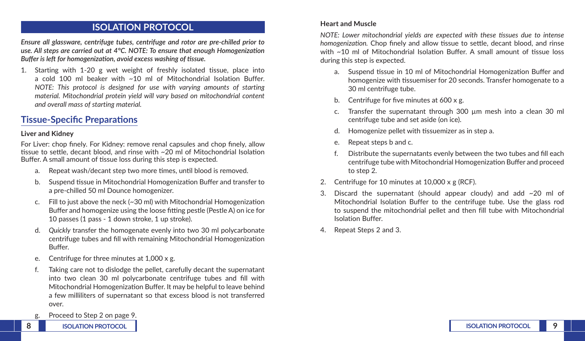#### **ISOLATION PROTOCOL**

*Ensure all glassware, centrifuge tubes, centrifuge and rotor are pre-chilled prior to use. All steps are carried out at 4°C. NOTE: To ensure that enough Homogenization Buffer is left for homogenization, avoid excess washing of tissue.*

1. Starting with 1-20 g wet weight of freshly isolated tissue, place into a cold 100 ml beaker with ~10 ml of Mitochondrial Isolation Buffer. *NOTE: This protocol is designed for use with varying amounts of starting material. Mitochondrial protein yield will vary based on mitochondrial content and overall mass of starting material.*

#### **Tissue-Specific Preparations**

#### **Liver and Kidney**

For Liver: chop finely. For Kidney: remove renal capsules and chop finely, allow tissue to settle, decant blood, and rinse with ~20 ml of Mitochondrial Isolation Buffer. A small amount of tissue loss during this step is expected.

- a. Repeat wash/decant step two more times, until blood is removed.
- b. Suspend tissue in Mitochondrial Homogenization Buffer and transfer to a pre-chilled 50 ml Dounce homogenizer.
- c. Fill to just above the neck  $\sim$  30 ml) with Mitochondrial Homogenization Buffer and homogenize using the loose fitting pestle (Pestle A) on ice for 10 passes (1 pass - 1 down stroke, 1 up stroke).
- d. *Quickly* transfer the homogenate evenly into two 30 ml polycarbonate centrifuge tubes and fill with remaining Mitochondrial Homogenization Buffer.
- e. Centrifuge for three minutes at 1,000 x g.
- f. Taking care not to dislodge the pellet, carefully decant the supernatant into two clean 30 ml polycarbonate centrifuge tubes and fill with Mitochondrial Homogenization Buffer. It may be helpful to leave behind a few milliliters of supernatant so that excess blood is not transferred over.
- g. Proceed to Step 2 on page 9.

#### **Heart and Muscle**

*NOTE: Lower mitochondrial yields are expected with these tissues due to intense homogenization.* Chop finely and allow tissue to settle, decant blood, and rinse with ~10 ml of Mitochondrial Isolation Buffer. A small amount of tissue loss during this step is expected.

- a. Suspend tissue in 10 ml of Mitochondrial Homogenization Buffer and homogenize with tissuemiser for 20 seconds. Transfer homogenate to a 30 ml centrifuge tube.
- b. Centrifuge for five minutes at 600 x g.
- c. Transfer the supernatant through 300 µm mesh into a clean 30 ml centrifuge tube and set aside (on ice).
- d. Homogenize pellet with tissuemizer as in step a.
- e. Repeat steps b and c.
- f. Distribute the supernatants evenly between the two tubes and fill each centrifuge tube with Mitochondrial Homogenization Buffer and proceed to step 2.
- 2. Centrifuge for 10 minutes at 10,000 x g (RCF).
- 3. Discard the supernatant (should appear cloudy) and add  $\sim$ 20 ml of Mitochondrial Isolation Buffer to the centrifuge tube. Use the glass rod to suspend the mitochondrial pellet and then fill tube with Mitochondrial Isolation Buffer.
- 4. Repeat Steps 2 and 3.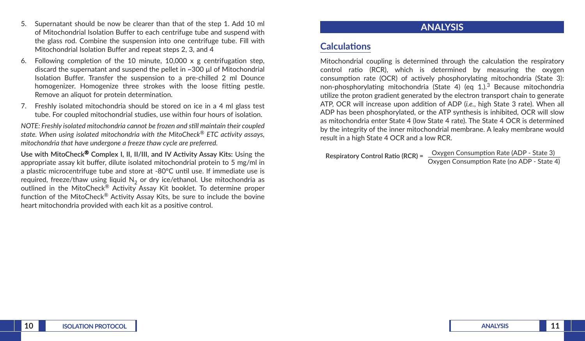- 5. Supernatant should be now be clearer than that of the step 1. Add 10 ml of Mitochondrial Isolation Buffer to each centrifuge tube and suspend with the glass rod. Combine the suspension into one centrifuge tube. Fill with Mitochondrial Isolation Buffer and repeat steps 2, 3, and 4
- 6. Following completion of the 10 minute,  $10,000 \times g$  centrifugation step, discard the supernatant and suspend the pellet in ~300 µl of Mitochondrial Isolation Buffer. Transfer the suspension to a pre-chilled 2 ml Dounce homogenizer. Homogenize three strokes with the loose fitting pestle. Remove an aliquot for protein determination.
- 7. Freshly isolated mitochondria should be stored on ice in a 4 ml glass test tube. For coupled mitochondrial studies, use within four hours of isolation.

*NOTE: Freshly isolated mitochondria cannot be frozen and still maintain their coupled state. When using isolated mitochondria with the MitoCheck® ETC activity assays, mitochondria that have undergone a freeze thaw cycle are preferred.*

**Use with MitoCheck**® **Complex I, II, II/III, and IV Activity Assay Kits:** Using the appropriate assay kit buffer, dilute isolated mitochondrial protein to 5 mg/ml in a plastic microcentrifuge tube and store at -80°C until use. If immediate use is required, freeze/thaw using liquid  $N<sub>2</sub>$  or dry ice/ethanol. Use mitochondria as outlined in the MitoCheck<sup>®</sup> Activity Assay Kit booklet. To determine proper function of the MitoCheck® Activity Assay Kits, be sure to include the bovine heart mitochondria provided with each kit as a positive control.

#### **ANALYSIS**

#### **Calculations**

Mitochondrial coupling is determined through the calculation the respiratory control ratio (RCR), which is determined by measuring the oxygen consumption rate (OCR) of actively phosphorylating mitochondria (State 3): non-phosphorylating mitochondria (State 4) (eq 1.).<sup>3</sup> Because mitochondria utilize the proton gradient generated by the electron transport chain to generate ATP, OCR will increase upon addition of ADP (*i.e.*, high State 3 rate). When all ADP has been phosphorylated, or the ATP synthesis is inhibited, OCR will slow as mitochondria enter State 4 (low State 4 rate). The State 4 OCR is determined by the integrity of the inner mitochondrial membrane. A leaky membrane would result in a high State 4 OCR and a low RCR.

**Respiratory Control Ratio (RCR) = Oxygen Consumption Rate (ADP - State 3)** Oxygen Consumption Rate (no ADP - State 4)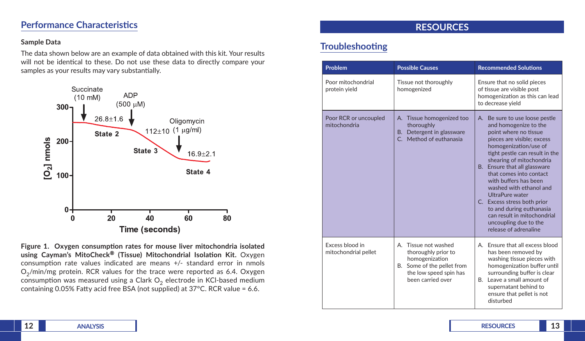#### **Performance Characteristics**

#### **Sample Data**

The data shown below are an example of data obtained with this kit. Your results will not be identical to these. Do not use these data to directly compare your samples as your results may vary substantially.



**Figure 1. Oxygen consumption rates for mouse liver mitochondria isolated using Cayman's MitoCheck® (Tissue) Mitochondrial Isolation Kit.** Oxygen consumption rate values indicated are means +/- standard error in nmols  $O<sub>2</sub>/min/mg$  protein. RCR values for the trace were reported as 6.4. Oxygen consumption was measured using a Clark  $O<sub>2</sub>$  electrode in KCl-based medium containing 0.05% Fatty acid free BSA (not supplied) at 37°C. RCR value = 6.6.

#### **RESOURCES**

# **Troubleshooting**

| Problem                                 | <b>Possible Causes</b>                                                                                                                        | <b>Recommended Solutions</b>                                                                                                                                                                                                                                                                                                                                                                                                                                                        |  |
|-----------------------------------------|-----------------------------------------------------------------------------------------------------------------------------------------------|-------------------------------------------------------------------------------------------------------------------------------------------------------------------------------------------------------------------------------------------------------------------------------------------------------------------------------------------------------------------------------------------------------------------------------------------------------------------------------------|--|
| Poor mitochondrial<br>protein yield     | Tissue not thoroughly<br>homogenized                                                                                                          | Ensure that no solid pieces<br>of tissue are visible post<br>homogenization as this can lead<br>to decrease yield                                                                                                                                                                                                                                                                                                                                                                   |  |
| Poor RCR or uncoupled<br>mitochondria   | Tissue homogenized too<br>Α.<br>thoroughly<br>B. Detergent in glassware<br>Method of euthanasia<br>$\mathsf{C}$                               | A. Be sure to use loose pestle<br>and homogenize to the<br>point where no tissue<br>pieces are visible; excess<br>homogenization/use of<br>tight pestle can result in the<br>shearing of mitochondria<br>B. Ensure that all glassware<br>that comes into contact<br>with buffers has been<br>washed with ethanol and<br>UltraPure water<br>C. Excess stress both prior<br>to and during euthanasia<br>can result in mitochondrial<br>uncoupling due to the<br>release of adrenaline |  |
| Excess blood in<br>mitochondrial pellet | A. Tissue not washed<br>thoroughly prior to<br>homogenization<br>Some of the pellet from<br>В.<br>the low speed spin has<br>been carried over | Ensure that all excess blood<br>А.<br>has been removed by<br>washing tissue pieces with<br>homogenization buffer until<br>surrounding buffer is clear<br>B. Leave a small amount of<br>supernatant behind to<br>ensure that pellet is not<br>disturbed                                                                                                                                                                                                                              |  |